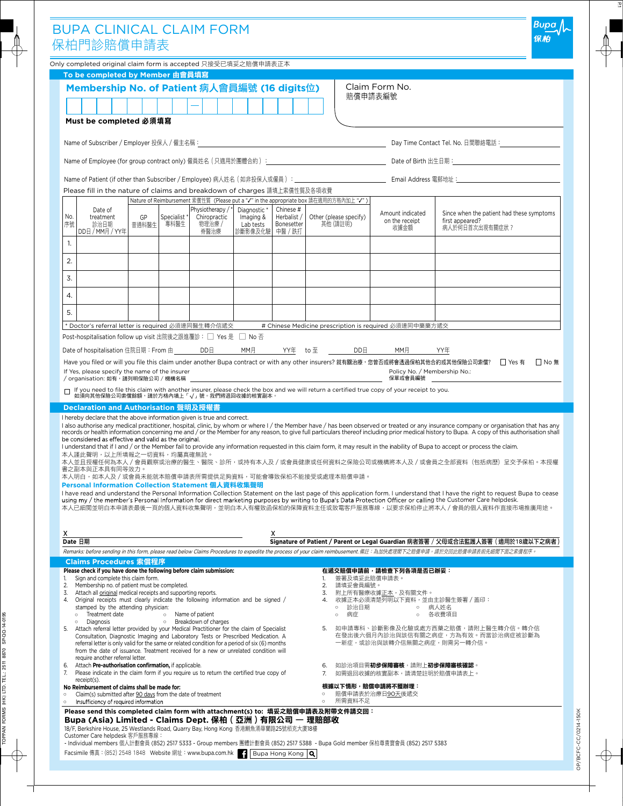|              | 保柏門診賠償申請表                                                                                                                                                                                                                                        |                                                                                                                                                                    |                                     | <b>BUPA CLINICAL CLAIM FORM</b>                    |                                                                      |                                        |                                                                                                                                              |                                            |                                                                                                                                                                                                                                                                                                                                                                                                                                                                                                                                                                                                                                                                                                                                                                                                                                                                                                                                                                                                                                                                                                            |
|--------------|--------------------------------------------------------------------------------------------------------------------------------------------------------------------------------------------------------------------------------------------------|--------------------------------------------------------------------------------------------------------------------------------------------------------------------|-------------------------------------|----------------------------------------------------|----------------------------------------------------------------------|----------------------------------------|----------------------------------------------------------------------------------------------------------------------------------------------|--------------------------------------------|------------------------------------------------------------------------------------------------------------------------------------------------------------------------------------------------------------------------------------------------------------------------------------------------------------------------------------------------------------------------------------------------------------------------------------------------------------------------------------------------------------------------------------------------------------------------------------------------------------------------------------------------------------------------------------------------------------------------------------------------------------------------------------------------------------------------------------------------------------------------------------------------------------------------------------------------------------------------------------------------------------------------------------------------------------------------------------------------------------|
|              | Only completed original claim form is accepted 只接受已填妥之賠償申請表正本                                                                                                                                                                                    |                                                                                                                                                                    |                                     |                                                    |                                                                      |                                        |                                                                                                                                              |                                            |                                                                                                                                                                                                                                                                                                                                                                                                                                                                                                                                                                                                                                                                                                                                                                                                                                                                                                                                                                                                                                                                                                            |
|              | To be completed by Member 由會員填寫<br>Membership No. of Patient 病人會員編號 (16 digits位)<br>Must be completed 必須填寫                                                                                                                                       |                                                                                                                                                                    |                                     |                                                    |                                                                      |                                        | 賠償申請表編號                                                                                                                                      | Claim Form No.                             |                                                                                                                                                                                                                                                                                                                                                                                                                                                                                                                                                                                                                                                                                                                                                                                                                                                                                                                                                                                                                                                                                                            |
|              | Name of Subscriber / Employer 投保人 / 僱主名稱:                                                                                                                                                                                                        |                                                                                                                                                                    |                                     |                                                    |                                                                      |                                        |                                                                                                                                              |                                            |                                                                                                                                                                                                                                                                                                                                                                                                                                                                                                                                                                                                                                                                                                                                                                                                                                                                                                                                                                                                                                                                                                            |
|              |                                                                                                                                                                                                                                                  |                                                                                                                                                                    |                                     |                                                    |                                                                      |                                        |                                                                                                                                              |                                            |                                                                                                                                                                                                                                                                                                                                                                                                                                                                                                                                                                                                                                                                                                                                                                                                                                                                                                                                                                                                                                                                                                            |
|              |                                                                                                                                                                                                                                                  |                                                                                                                                                                    |                                     |                                                    |                                                                      |                                        |                                                                                                                                              |                                            |                                                                                                                                                                                                                                                                                                                                                                                                                                                                                                                                                                                                                                                                                                                                                                                                                                                                                                                                                                                                                                                                                                            |
|              |                                                                                                                                                                                                                                                  | Please fill in the nature of claims and breakdown of charges 請填上索償性質及各項收費<br>Nature of Reimbursement 索償性質 (Please put a "√" in the appropriate box 請在適用的方格內加上 "√") |                                     |                                                    |                                                                      |                                        |                                                                                                                                              |                                            |                                                                                                                                                                                                                                                                                                                                                                                                                                                                                                                                                                                                                                                                                                                                                                                                                                                                                                                                                                                                                                                                                                            |
| No.<br>序號    | Date of<br>treatment<br>診治日期<br>DD日 / MM月 / YY年                                                                                                                                                                                                  | GP<br>普通科醫生                                                                                                                                                        | Specialist <sup>*</sup><br>專科醫牛     | Physiotherapy /*<br>Chiropractic<br>物理治療 /<br>脊醫治療 | Diagnostic <sup>*</sup><br>Imaging &<br>Lab tests<br>診斷影像及化驗 中醫 / 跌打 | Chinese #<br>Herbalist /<br>Bonesetter | Other (please specify)<br>其他 (請註明)                                                                                                           | Amount indicated<br>on the receipt<br>收據金額 | Since when the patient had these symptoms<br>first appeared?<br>病人於何日首次出現有關症狀?                                                                                                                                                                                                                                                                                                                                                                                                                                                                                                                                                                                                                                                                                                                                                                                                                                                                                                                                                                                                                             |
| 1.           |                                                                                                                                                                                                                                                  |                                                                                                                                                                    |                                     |                                                    |                                                                      |                                        |                                                                                                                                              |                                            |                                                                                                                                                                                                                                                                                                                                                                                                                                                                                                                                                                                                                                                                                                                                                                                                                                                                                                                                                                                                                                                                                                            |
| 2.           |                                                                                                                                                                                                                                                  |                                                                                                                                                                    |                                     |                                                    |                                                                      |                                        |                                                                                                                                              |                                            |                                                                                                                                                                                                                                                                                                                                                                                                                                                                                                                                                                                                                                                                                                                                                                                                                                                                                                                                                                                                                                                                                                            |
| 3.           |                                                                                                                                                                                                                                                  |                                                                                                                                                                    |                                     |                                                    |                                                                      |                                        |                                                                                                                                              |                                            |                                                                                                                                                                                                                                                                                                                                                                                                                                                                                                                                                                                                                                                                                                                                                                                                                                                                                                                                                                                                                                                                                                            |
| 4.           |                                                                                                                                                                                                                                                  |                                                                                                                                                                    |                                     |                                                    |                                                                      |                                        |                                                                                                                                              |                                            |                                                                                                                                                                                                                                                                                                                                                                                                                                                                                                                                                                                                                                                                                                                                                                                                                                                                                                                                                                                                                                                                                                            |
| 5.           | Doctor's referral letter is required 必須連同醫生轉介信遞交                                                                                                                                                                                                 |                                                                                                                                                                    |                                     |                                                    |                                                                      |                                        | # Chinese Medicine prescription is required 必須連同中藥藥方遞交                                                                                       |                                            |                                                                                                                                                                                                                                                                                                                                                                                                                                                                                                                                                                                                                                                                                                                                                                                                                                                                                                                                                                                                                                                                                                            |
|              |                                                                                                                                                                                                                                                  |                                                                                                                                                                    | Date of hospitalisation 住院日期:From 由 | DD <sub>H</sub>                                    | MM月                                                                  |                                        | YY年  to 至<br>DD <b>B</b>                                                                                                                     | MM月                                        | YY年<br>Have you filed or will you file this claim under another Bupa contract or with any other insurers? 就有關治療,您曾否或將會透過保柏其他合約或其他保險公司索償? □ Yes 有   □ No 無                                                                                                                                                                                                                                                                                                                                                                                                                                                                                                                                                                                                                                                                                                                                                                                                                                                                                                                                                  |
|              | If Yes, please specify the name of the insurer<br>/ organisation: 如有,請列明保險公司 / 機構名稱<br>如須向其他保險公司索償餘額,請於方格內填上「√」號。我們將退回收據的核實副本。<br>Declaration and Authorisation 聲明及授權書<br>I hereby declare that the above information given is true and correct. |                                                                                                                                                                    |                                     |                                                    |                                                                      |                                        | □ If you need to file this claim with another insurer, please check the box and we will return a certified true copy of your receipt to you. | Policy No. / Membership No.:<br>保單或會員編號    |                                                                                                                                                                                                                                                                                                                                                                                                                                                                                                                                                                                                                                                                                                                                                                                                                                                                                                                                                                                                                                                                                                            |
|              | be considered as effective and valid as the original.<br>本人謹此聲明,以上所填報之一切資料,均屬真確無訛。<br>書之副本與正本具有同等效力。<br>Personal Information Collection Statement 個人資料收集聲明                                                                                       |                                                                                                                                                                    |                                     |                                                    |                                                                      |                                        | 本人明白,如本人及/或會員未能就本賠償申請表所需提供足夠資料,可能會導致保柏不能接受或處理本賠償申請。                                                                                          |                                            | I also authorise any medical practitioner, hospital, clinic, by whom or where I / the Member have / has been observed or treated or any insurance company or organisation that has any<br>records or health information concerning me and / or the Member for any reason, to give full particulars thereof including prior medical history to Bupa. A copy of this authorisation shall<br>I understand that if I and / or the Member fail to provide any information requested in this claim form, it may result in the inability of Bupa to accept or process the claim.<br>本人並且授權任何為本人/會員觀察或治療的醫生、醫院、診所,或持有本人及/或會員健康或任何資料之保險公司或機構將本人及/或會員之全部資料(包括病歷)呈交予保柏。本授權<br>I have read and understand the Personal Information Collection Statement on the last page of this application form. I understand that I have the right to request Bupa to cease<br>using my / the member's Personal Information for direct marketing purposes by writing to Bupa's Data Protection Officer or calling the Customer Care helpdesk.<br>本人已細閱並明白本申請表最後一頁的個人資料收集聲明,並明白本人有權致函保柏的保障資料主仟或致電客戶服務專線,以要求保柏停止將本人/會員的個人資料作直接市場推廣用途。 |
|              |                                                                                                                                                                                                                                                  |                                                                                                                                                                    |                                     |                                                    |                                                                      | x                                      |                                                                                                                                              |                                            | Signature of Patient / Parent or Legal Guardian 病者簽署 / 父母或合法監護人簽署 ( 適用於18歲以下之病者)                                                                                                                                                                                                                                                                                                                                                                                                                                                                                                                                                                                                                                                                                                                                                                                                                                                                                                                                                                                                                           |
| X<br>Date 日期 |                                                                                                                                                                                                                                                  |                                                                                                                                                                    |                                     |                                                    |                                                                      |                                        |                                                                                                                                              |                                            | Remarks: before sending in this form, please read below Claims Procedures to expedite the process of your claim reimbusement. 備註:為加快處理閣下之賠償申請,請於交回此賠償申請表前先細閲下面之索償程序。                                                                                                                                                                                                                                                                                                                                                                                                                                                                                                                                                                                                                                                                                                                                                                                                                                                                                                                                       |

OP/BCFC-CC/0214-150K

OP/BCFC-CC/0214-150K